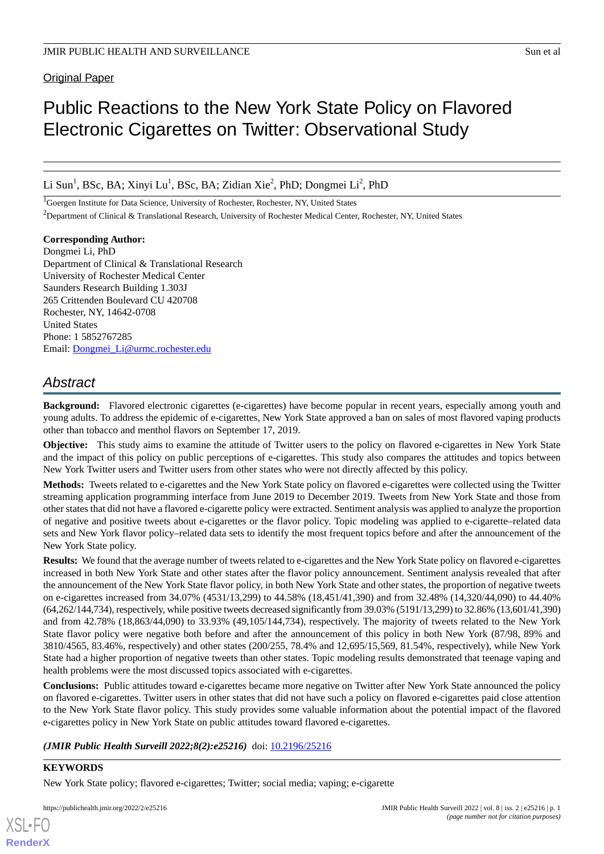# Public Reactions to the New York State Policy on Flavored Electronic Cigarettes on Twitter: Observational Study

Li Sun<sup>1</sup>, BSc, BA; Xinyi Lu<sup>1</sup>, BSc, BA; Zidian Xie<sup>2</sup>, PhD; Dongmei Li<sup>2</sup>, PhD

<sup>1</sup>Goergen Institute for Data Science, University of Rochester, Rochester, NY, United States

<sup>2</sup>Department of Clinical & Translational Research, University of Rochester Medical Center, Rochester, NY, United States

## **Corresponding Author:**

Dongmei Li, PhD Department of Clinical & Translational Research University of Rochester Medical Center Saunders Research Building 1.303J 265 Crittenden Boulevard CU 420708 Rochester, NY, 14642-0708 United States Phone: 1 5852767285 Email: [Dongmei\\_Li@urmc.rochester.edu](mailto:Dongmei_Li@urmc.rochester.edu)

## *Abstract*

**Background:** Flavored electronic cigarettes (e-cigarettes) have become popular in recent years, especially among youth and young adults. To address the epidemic of e-cigarettes, New York State approved a ban on sales of most flavored vaping products other than tobacco and menthol flavors on September 17, 2019.

**Objective:** This study aims to examine the attitude of Twitter users to the policy on flavored e-cigarettes in New York State and the impact of this policy on public perceptions of e-cigarettes. This study also compares the attitudes and topics between New York Twitter users and Twitter users from other states who were not directly affected by this policy.

**Methods:** Tweets related to e-cigarettes and the New York State policy on flavored e-cigarettes were collected using the Twitter streaming application programming interface from June 2019 to December 2019. Tweets from New York State and those from other states that did not have a flavored e-cigarette policy were extracted. Sentiment analysis was applied to analyze the proportion of negative and positive tweets about e-cigarettes or the flavor policy. Topic modeling was applied to e-cigarette–related data sets and New York flavor policy–related data sets to identify the most frequent topics before and after the announcement of the New York State policy.

**Results:** We found that the average number of tweets related to e-cigarettes and the New York State policy on flavored e-cigarettes increased in both New York State and other states after the flavor policy announcement. Sentiment analysis revealed that after the announcement of the New York State flavor policy, in both New York State and other states, the proportion of negative tweets on e-cigarettes increased from 34.07% (4531/13,299) to 44.58% (18,451/41,390) and from 32.48% (14,320/44,090) to 44.40% (64,262/144,734), respectively, while positive tweets decreased significantly from 39.03% (5191/13,299) to 32.86% (13,601/41,390) and from 42.78% (18,863/44,090) to 33.93% (49,105/144,734), respectively. The majority of tweets related to the New York State flavor policy were negative both before and after the announcement of this policy in both New York (87/98, 89% and 3810/4565, 83.46%, respectively) and other states (200/255, 78.4% and 12,695/15,569, 81.54%, respectively), while New York State had a higher proportion of negative tweets than other states. Topic modeling results demonstrated that teenage vaping and health problems were the most discussed topics associated with e-cigarettes.

**Conclusions:** Public attitudes toward e-cigarettes became more negative on Twitter after New York State announced the policy on flavored e-cigarettes. Twitter users in other states that did not have such a policy on flavored e-cigarettes paid close attention to the New York State flavor policy. This study provides some valuable information about the potential impact of the flavored e-cigarettes policy in New York State on public attitudes toward flavored e-cigarettes.

## *(JMIR Public Health Surveill 2022;8(2):e25216)* doi: **10.2196/25216**

## **KEYWORDS**

New York State policy; flavored e-cigarettes; Twitter; social media; vaping; e-cigarette

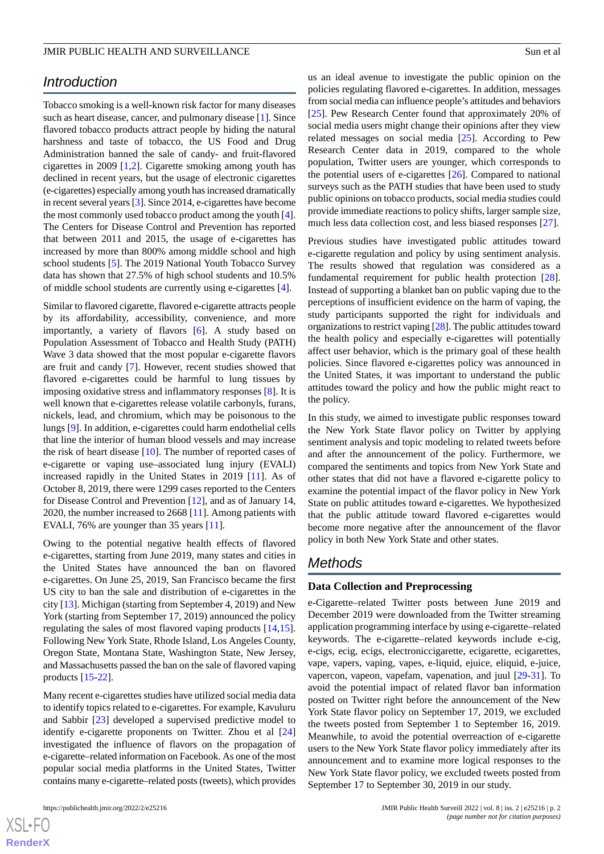## *Introduction*

Tobacco smoking is a well-known risk factor for many diseases such as heart disease, cancer, and pulmonary disease [\[1](#page-8-0)]. Since flavored tobacco products attract people by hiding the natural harshness and taste of tobacco, the US Food and Drug Administration banned the sale of candy- and fruit-flavored cigarettes in 2009 [\[1](#page-8-0),[2](#page-8-1)]. Cigarette smoking among youth has declined in recent years, but the usage of electronic cigarettes (e-cigarettes) especially among youth has increased dramatically in recent several years [\[3](#page-8-2)]. Since 2014, e-cigarettes have become the most commonly used tobacco product among the youth [[4\]](#page-8-3). The Centers for Disease Control and Prevention has reported that between 2011 and 2015, the usage of e-cigarettes has increased by more than 800% among middle school and high school students [[5\]](#page-8-4). The 2019 National Youth Tobacco Survey data has shown that 27.5% of high school students and 10.5% of middle school students are currently using e-cigarettes [[4\]](#page-8-3).

Similar to flavored cigarette, flavored e-cigarette attracts people by its affordability, accessibility, convenience, and more importantly, a variety of flavors [[6\]](#page-8-5). A study based on Population Assessment of Tobacco and Health Study (PATH) Wave 3 data showed that the most popular e-cigarette flavors are fruit and candy [[7\]](#page-8-6). However, recent studies showed that flavored e-cigarettes could be harmful to lung tissues by imposing oxidative stress and inflammatory responses [[8](#page-8-7)]. It is well known that e-cigarettes release volatile carbonyls, furans, nickels, lead, and chromium, which may be poisonous to the lungs [[9\]](#page-9-0). In addition, e-cigarettes could harm endothelial cells that line the interior of human blood vessels and may increase the risk of heart disease [\[10](#page-9-1)]. The number of reported cases of e-cigarette or vaping use–associated lung injury (EVALI) increased rapidly in the United States in 2019 [\[11](#page-9-2)]. As of October 8, 2019, there were 1299 cases reported to the Centers for Disease Control and Prevention [[12\]](#page-9-3), and as of January 14, 2020, the number increased to 2668 [\[11](#page-9-2)]. Among patients with EVALI, 76% are younger than 35 years [\[11](#page-9-2)].

Owing to the potential negative health effects of flavored e-cigarettes, starting from June 2019, many states and cities in the United States have announced the ban on flavored e-cigarettes. On June 25, 2019, San Francisco became the first US city to ban the sale and distribution of e-cigarettes in the city [[13\]](#page-9-4). Michigan (starting from September 4, 2019) and New York (starting from September 17, 2019) announced the policy regulating the sales of most flavored vaping products [\[14](#page-9-5),[15\]](#page-9-6). Following New York State, Rhode Island, Los Angeles County, Oregon State, Montana State, Washington State, New Jersey, and Massachusetts passed the ban on the sale of flavored vaping products [[15-](#page-9-6)[22](#page-9-7)].

Many recent e-cigarettes studies have utilized social media data to identify topics related to e-cigarettes. For example, Kavuluru and Sabbir [\[23](#page-9-8)] developed a supervised predictive model to identify e-cigarette proponents on Twitter. Zhou et al [\[24](#page-9-9)] investigated the influence of flavors on the propagation of e-cigarette–related information on Facebook. As one of the most popular social media platforms in the United States, Twitter contains many e-cigarette–related posts (tweets), which provides

us an ideal avenue to investigate the public opinion on the policies regulating flavored e-cigarettes. In addition, messages from social media can influence people's attitudes and behaviors [[25\]](#page-9-10). Pew Research Center found that approximately 20% of social media users might change their opinions after they view related messages on social media [[25\]](#page-9-10). According to Pew Research Center data in 2019, compared to the whole population, Twitter users are younger, which corresponds to the potential users of e-cigarettes [[26\]](#page-9-11). Compared to national surveys such as the PATH studies that have been used to study public opinions on tobacco products, social media studies could provide immediate reactions to policy shifts, larger sample size, much less data collection cost, and less biased responses [\[27](#page-9-12)].

Previous studies have investigated public attitudes toward e-cigarette regulation and policy by using sentiment analysis. The results showed that regulation was considered as a fundamental requirement for public health protection [[28\]](#page-9-13). Instead of supporting a blanket ban on public vaping due to the perceptions of insufficient evidence on the harm of vaping, the study participants supported the right for individuals and organizations to restrict vaping [\[28\]](#page-9-13). The public attitudes toward the health policy and especially e-cigarettes will potentially affect user behavior, which is the primary goal of these health policies. Since flavored e-cigarettes policy was announced in the United States, it was important to understand the public attitudes toward the policy and how the public might react to the policy.

In this study, we aimed to investigate public responses toward the New York State flavor policy on Twitter by applying sentiment analysis and topic modeling to related tweets before and after the announcement of the policy. Furthermore, we compared the sentiments and topics from New York State and other states that did not have a flavored e-cigarette policy to examine the potential impact of the flavor policy in New York State on public attitudes toward e-cigarettes. We hypothesized that the public attitude toward flavored e-cigarettes would become more negative after the announcement of the flavor policy in both New York State and other states.

## *Methods*

## **Data Collection and Preprocessing**

e-Cigarette–related Twitter posts between June 2019 and December 2019 were downloaded from the Twitter streaming application programming interface by using e-cigarette–related keywords. The e-cigarette–related keywords include e-cig, e-cigs, ecig, ecigs, electroniccigarette, ecigarette, ecigarettes, vape, vapers, vaping, vapes, e-liquid, ejuice, eliquid, e-juice, vapercon, vapeon, vapefam, vapenation, and juul [[29](#page-9-14)[-31](#page-9-15)]. To avoid the potential impact of related flavor ban information posted on Twitter right before the announcement of the New York State flavor policy on September 17, 2019, we excluded the tweets posted from September 1 to September 16, 2019. Meanwhile, to avoid the potential overreaction of e-cigarette users to the New York State flavor policy immediately after its announcement and to examine more logical responses to the New York State flavor policy, we excluded tweets posted from September 17 to September 30, 2019 in our study.

```
XS\cdotFC
RenderX
```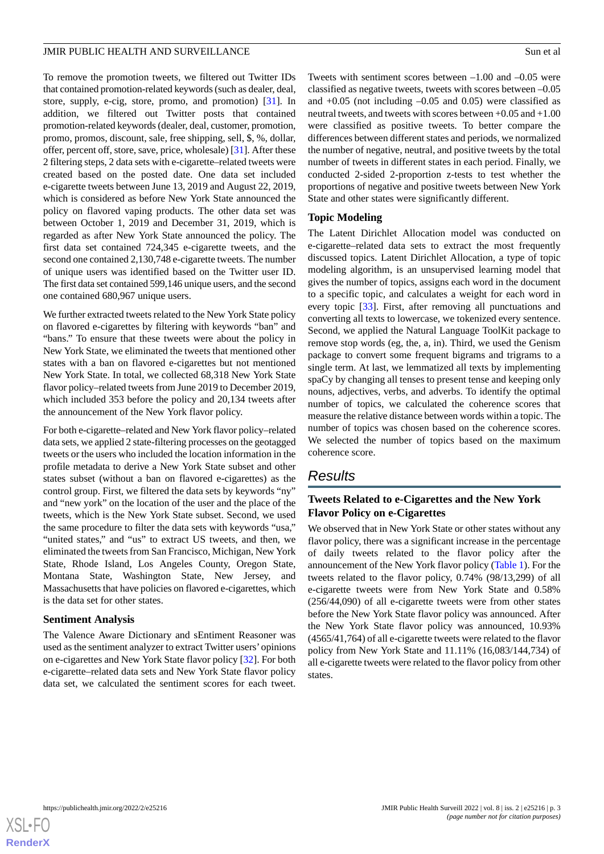To remove the promotion tweets, we filtered out Twitter IDs that contained promotion-related keywords (such as dealer, deal, store, supply, e-cig, store, promo, and promotion) [[31\]](#page-9-15). In addition, we filtered out Twitter posts that contained promotion-related keywords (dealer, deal, customer, promotion, promo, promos, discount, sale, free shipping, sell, \$, %, dollar, offer, percent off, store, save, price, wholesale) [[31\]](#page-9-15). After these 2 filtering steps, 2 data sets with e-cigarette–related tweets were created based on the posted date. One data set included e-cigarette tweets between June 13, 2019 and August 22, 2019, which is considered as before New York State announced the policy on flavored vaping products. The other data set was between October 1, 2019 and December 31, 2019, which is regarded as after New York State announced the policy. The first data set contained 724,345 e-cigarette tweets, and the second one contained 2,130,748 e-cigarette tweets. The number of unique users was identified based on the Twitter user ID. The first data set contained 599,146 unique users, and the second one contained 680,967 unique users.

We further extracted tweets related to the New York State policy on flavored e-cigarettes by filtering with keywords "ban" and "bans." To ensure that these tweets were about the policy in New York State, we eliminated the tweets that mentioned other states with a ban on flavored e-cigarettes but not mentioned New York State. In total, we collected 68,318 New York State flavor policy–related tweets from June 2019 to December 2019, which included 353 before the policy and 20,134 tweets after the announcement of the New York flavor policy.

For both e-cigarette–related and New York flavor policy–related data sets, we applied 2 state-filtering processes on the geotagged tweets or the users who included the location information in the profile metadata to derive a New York State subset and other states subset (without a ban on flavored e-cigarettes) as the control group. First, we filtered the data sets by keywords "ny" and "new york" on the location of the user and the place of the tweets, which is the New York State subset. Second, we used the same procedure to filter the data sets with keywords "usa," "united states," and "us" to extract US tweets, and then, we eliminated the tweets from San Francisco, Michigan, New York State, Rhode Island, Los Angeles County, Oregon State, Montana State, Washington State, New Jersey, and Massachusetts that have policies on flavored e-cigarettes, which is the data set for other states.

#### **Sentiment Analysis**

The Valence Aware Dictionary and sEntiment Reasoner was used as the sentiment analyzer to extract Twitter users'opinions on e-cigarettes and New York State flavor policy [[32\]](#page-10-0). For both e-cigarette–related data sets and New York State flavor policy data set, we calculated the sentiment scores for each tweet.

Tweets with sentiment scores between –1.00 and –0.05 were classified as negative tweets, tweets with scores between –0.05 and  $+0.05$  (not including  $-0.05$  and  $0.05$ ) were classified as neutral tweets, and tweets with scores between +0.05 and +1.00 were classified as positive tweets. To better compare the differences between different states and periods, we normalized the number of negative, neutral, and positive tweets by the total number of tweets in different states in each period. Finally, we conducted 2-sided 2-proportion z-tests to test whether the proportions of negative and positive tweets between New York State and other states were significantly different.

## **Topic Modeling**

The Latent Dirichlet Allocation model was conducted on e-cigarette–related data sets to extract the most frequently discussed topics. Latent Dirichlet Allocation, a type of topic modeling algorithm, is an unsupervised learning model that gives the number of topics, assigns each word in the document to a specific topic, and calculates a weight for each word in every topic [[33\]](#page-10-1). First, after removing all punctuations and converting all texts to lowercase, we tokenized every sentence. Second, we applied the Natural Language ToolKit package to remove stop words (eg, the, a, in). Third, we used the Genism package to convert some frequent bigrams and trigrams to a single term. At last, we lemmatized all texts by implementing spaCy by changing all tenses to present tense and keeping only nouns, adjectives, verbs, and adverbs. To identify the optimal number of topics, we calculated the coherence scores that measure the relative distance between words within a topic. The number of topics was chosen based on the coherence scores. We selected the number of topics based on the maximum coherence score.

## *Results*

## **Tweets Related to e-Cigarettes and the New York Flavor Policy on e-Cigarettes**

We observed that in New York State or other states without any flavor policy, there was a significant increase in the percentage of daily tweets related to the flavor policy after the announcement of the New York flavor policy ([Table 1\)](#page-3-0). For the tweets related to the flavor policy, 0.74% (98/13,299) of all e-cigarette tweets were from New York State and 0.58% (256/44,090) of all e-cigarette tweets were from other states before the New York State flavor policy was announced. After the New York State flavor policy was announced, 10.93% (4565/41,764) of all e-cigarette tweets were related to the flavor policy from New York State and 11.11% (16,083/144,734) of all e-cigarette tweets were related to the flavor policy from other states.

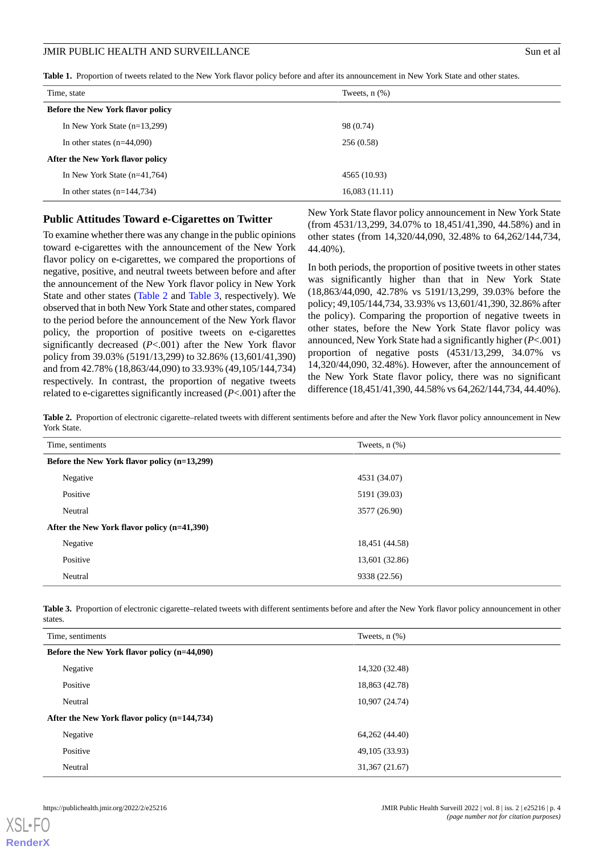<span id="page-3-0"></span>**Table 1.** Proportion of tweets related to the New York flavor policy before and after its announcement in New York State and other states.

| Tweets, $n$ $(\%)$               |  |  |  |
|----------------------------------|--|--|--|
|                                  |  |  |  |
| 98 (0.74)                        |  |  |  |
| 256(0.58)                        |  |  |  |
| After the New York flavor policy |  |  |  |
| 4565 (10.93)                     |  |  |  |
| 16,083(11.11)                    |  |  |  |
|                                  |  |  |  |

#### **Public Attitudes Toward e-Cigarettes on Twitter**

To examine whether there was any change in the public opinions toward e-cigarettes with the announcement of the New York flavor policy on e-cigarettes, we compared the proportions of negative, positive, and neutral tweets between before and after the announcement of the New York flavor policy in New York State and other states [\(Table 2](#page-3-1) and [Table 3](#page-3-2), respectively). We observed that in both New York State and other states, compared to the period before the announcement of the New York flavor policy, the proportion of positive tweets on e-cigarettes significantly decreased (*P*<.001) after the New York flavor policy from 39.03% (5191/13,299) to 32.86% (13,601/41,390) and from 42.78% (18,863/44,090) to 33.93% (49,105/144,734) respectively. In contrast, the proportion of negative tweets related to e-cigarettes significantly increased (*P*<.001) after the

New York State flavor policy announcement in New York State (from 4531/13,299, 34.07% to 18,451/41,390, 44.58%) and in other states (from 14,320/44,090, 32.48% to 64,262/144,734, 44.40%).

In both periods, the proportion of positive tweets in other states was significantly higher than that in New York State (18,863/44,090, 42.78% vs 5191/13,299, 39.03% before the policy; 49,105/144,734, 33.93% vs 13,601/41,390, 32.86% after the policy). Comparing the proportion of negative tweets in other states, before the New York State flavor policy was announced, New York State had a significantly higher (*P*<.001) proportion of negative posts (4531/13,299, 34.07% vs 14,320/44,090, 32.48%). However, after the announcement of the New York State flavor policy, there was no significant difference (18,451/41,390, 44.58% vs 64,262/144,734, 44.40%).

<span id="page-3-1"></span>**Table 2.** Proportion of electronic cigarette–related tweets with different sentiments before and after the New York flavor policy announcement in New York State.

| Time, sentiments                             | Tweets, $n$ $(\%)$ |  |  |
|----------------------------------------------|--------------------|--|--|
| Before the New York flavor policy (n=13,299) |                    |  |  |
| Negative                                     | 4531 (34.07)       |  |  |
| Positive                                     | 5191 (39.03)       |  |  |
| Neutral                                      | 3577 (26.90)       |  |  |
| After the New York flavor policy (n=41,390)  |                    |  |  |
| Negative                                     | 18,451 (44.58)     |  |  |
| Positive                                     | 13,601 (32.86)     |  |  |
| Neutral                                      | 9338 (22.56)       |  |  |

<span id="page-3-2"></span>**Table 3.** Proportion of electronic cigarette–related tweets with different sentiments before and after the New York flavor policy announcement in other states.

| Time, sentiments                             | Tweets, $n$ $(\%)$ |  |  |
|----------------------------------------------|--------------------|--|--|
| Before the New York flavor policy (n=44,090) |                    |  |  |
| Negative                                     | 14,320 (32.48)     |  |  |
| Positive                                     | 18,863 (42.78)     |  |  |
| Neutral                                      | 10,907 (24.74)     |  |  |
| After the New York flavor policy (n=144,734) |                    |  |  |
| Negative                                     | 64,262 (44.40)     |  |  |
| Positive                                     | 49,105 (33.93)     |  |  |
| Neutral                                      | 31,367 (21.67)     |  |  |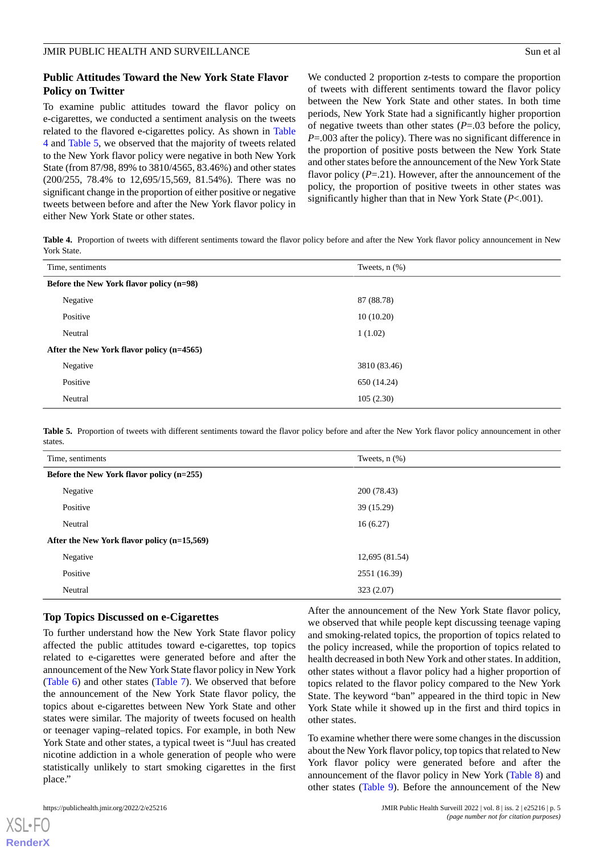#### **Public Attitudes Toward the New York State Flavor Policy on Twitter**

To examine public attitudes toward the flavor policy on e-cigarettes, we conducted a sentiment analysis on the tweets related to the flavored e-cigarettes policy. As shown in [Table](#page-4-0) [4](#page-4-0) and [Table 5](#page-4-1), we observed that the majority of tweets related to the New York flavor policy were negative in both New York State (from 87/98, 89% to 3810/4565, 83.46%) and other states (200/255, 78.4% to 12,695/15,569, 81.54%). There was no significant change in the proportion of either positive or negative tweets between before and after the New York flavor policy in either New York State or other states.

We conducted 2 proportion z-tests to compare the proportion of tweets with different sentiments toward the flavor policy between the New York State and other states. In both time periods, New York State had a significantly higher proportion of negative tweets than other states (*P*=.03 before the policy, *P*=.003 after the policy). There was no significant difference in the proportion of positive posts between the New York State and other states before the announcement of the New York State flavor policy (P=.21). However, after the announcement of the policy, the proportion of positive tweets in other states was significantly higher than that in New York State (*P*<.001).

<span id="page-4-0"></span>**Table 4.** Proportion of tweets with different sentiments toward the flavor policy before and after the New York flavor policy announcement in New York State.

| Time, sentiments                          | Tweets, $n$ $(\%)$ |  |  |
|-------------------------------------------|--------------------|--|--|
| Before the New York flavor policy (n=98)  |                    |  |  |
| Negative                                  | 87 (88.78)         |  |  |
| Positive                                  | 10(10.20)          |  |  |
| Neutral                                   | 1(1.02)            |  |  |
| After the New York flavor policy (n=4565) |                    |  |  |
| Negative                                  | 3810 (83.46)       |  |  |
| Positive                                  | 650 (14.24)        |  |  |
| Neutral                                   | 105(2.30)          |  |  |

<span id="page-4-1"></span>**Table 5.** Proportion of tweets with different sentiments toward the flavor policy before and after the New York flavor policy announcement in other states.

| Time, sentiments                            | Tweets, $n$ $(\%)$ |  |  |
|---------------------------------------------|--------------------|--|--|
| Before the New York flavor policy (n=255)   |                    |  |  |
| Negative                                    | 200 (78.43)        |  |  |
| Positive                                    | 39(15.29)          |  |  |
| Neutral                                     | 16(6.27)           |  |  |
| After the New York flavor policy (n=15,569) |                    |  |  |
| Negative                                    | 12,695 (81.54)     |  |  |
| Positive                                    | 2551 (16.39)       |  |  |
| Neutral                                     | 323(2.07)          |  |  |

#### **Top Topics Discussed on e-Cigarettes**

To further understand how the New York State flavor policy affected the public attitudes toward e-cigarettes, top topics related to e-cigarettes were generated before and after the announcement of the New York State flavor policy in New York ([Table 6](#page-5-0)) and other states ([Table 7](#page-5-1)). We observed that before the announcement of the New York State flavor policy, the topics about e-cigarettes between New York State and other states were similar. The majority of tweets focused on health or teenager vaping–related topics. For example, in both New York State and other states, a typical tweet is "Juul has created nicotine addiction in a whole generation of people who were statistically unlikely to start smoking cigarettes in the first place."

After the announcement of the New York State flavor policy, we observed that while people kept discussing teenage vaping and smoking-related topics, the proportion of topics related to the policy increased, while the proportion of topics related to health decreased in both New York and other states. In addition, other states without a flavor policy had a higher proportion of topics related to the flavor policy compared to the New York State. The keyword "ban" appeared in the third topic in New York State while it showed up in the first and third topics in other states.

To examine whether there were some changes in the discussion about the New York flavor policy, top topics that related to New York flavor policy were generated before and after the announcement of the flavor policy in New York [\(Table 8](#page-6-0)) and other states [\(Table 9\)](#page-6-1). Before the announcement of the New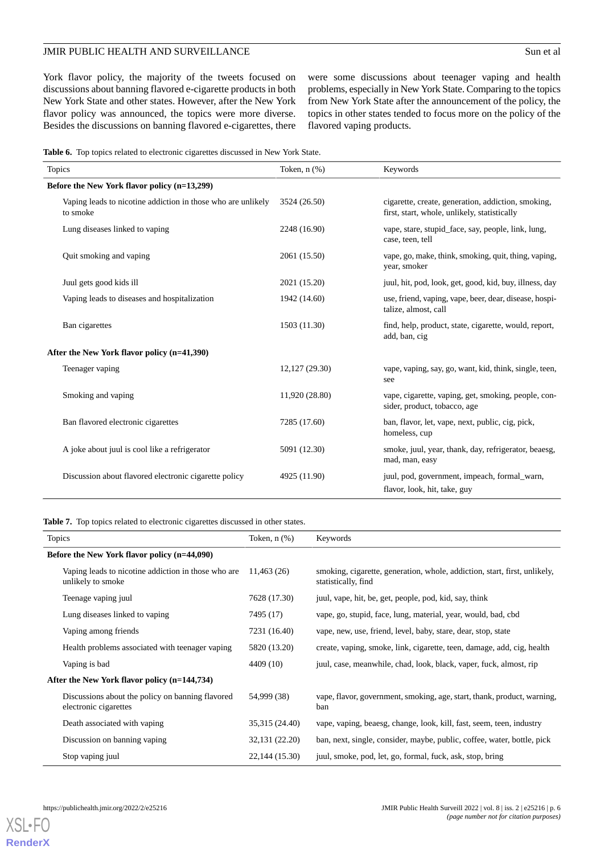## JMIR PUBLIC HEALTH AND SURVEILLANCE Sun et al

York flavor policy, the majority of the tweets focused on discussions about banning flavored e-cigarette products in both New York State and other states. However, after the New York flavor policy was announced, the topics were more diverse. Besides the discussions on banning flavored e-cigarettes, there were some discussions about teenager vaping and health problems, especially in New York State. Comparing to the topics from New York State after the announcement of the policy, the topics in other states tended to focus more on the policy of the flavored vaping products.

<span id="page-5-0"></span>

|  |  |  |  |  |  |  | <b>Table 6.</b> Top topics related to electronic cigarettes discussed in New York State. |
|--|--|--|--|--|--|--|------------------------------------------------------------------------------------------|
|--|--|--|--|--|--|--|------------------------------------------------------------------------------------------|

| <b>Topics</b>                                                            | Token, n (%)   | Keywords                                                                                           |  |  |
|--------------------------------------------------------------------------|----------------|----------------------------------------------------------------------------------------------------|--|--|
| Before the New York flavor policy (n=13,299)                             |                |                                                                                                    |  |  |
| Vaping leads to nicotine addiction in those who are unlikely<br>to smoke | 3524 (26.50)   | cigarette, create, generation, addiction, smoking,<br>first, start, whole, unlikely, statistically |  |  |
| Lung diseases linked to vaping                                           | 2248 (16.90)   | vape, stare, stupid_face, say, people, link, lung,<br>case, teen, tell                             |  |  |
| Quit smoking and vaping                                                  | 2061 (15.50)   | vape, go, make, think, smoking, quit, thing, vaping,<br>year, smoker                               |  |  |
| Juul gets good kids ill                                                  | 2021 (15.20)   | juul, hit, pod, look, get, good, kid, buy, illness, day                                            |  |  |
| Vaping leads to diseases and hospitalization                             | 1942 (14.60)   | use, friend, vaping, vape, beer, dear, disease, hospi-<br>talize, almost, call                     |  |  |
| Ban cigarettes                                                           | 1503 (11.30)   | find, help, product, state, cigarette, would, report,<br>add, ban, cig                             |  |  |
| After the New York flavor policy (n=41,390)                              |                |                                                                                                    |  |  |
| Teenager vaping                                                          | 12,127 (29.30) | vape, vaping, say, go, want, kid, think, single, teen,<br>see                                      |  |  |
| Smoking and vaping                                                       | 11,920 (28.80) | vape, cigarette, vaping, get, smoking, people, con-<br>sider, product, tobacco, age                |  |  |
| Ban flavored electronic cigarettes                                       | 7285 (17.60)   | ban, flavor, let, vape, next, public, cig, pick,<br>homeless, cup                                  |  |  |
| A joke about juul is cool like a refrigerator                            | 5091 (12.30)   | smoke, juul, year, thank, day, refrigerator, beaesg,<br>mad, man, easy                             |  |  |
| Discussion about flavored electronic cigarette policy                    | 4925 (11.90)   | juul, pod, government, impeach, formal_warn,<br>flavor, look, hit, take, guy                       |  |  |

<span id="page-5-1"></span>**Table 7.** Top topics related to electronic cigarettes discussed in other states.

| <b>Topics</b>                                                             | Token, $n$ $(\%)$ | Keywords                                                                                         |
|---------------------------------------------------------------------------|-------------------|--------------------------------------------------------------------------------------------------|
| Before the New York flavor policy (n=44,090)                              |                   |                                                                                                  |
| Vaping leads to nicotine addiction in those who are<br>unlikely to smoke  | 11,463(26)        | smoking, cigarette, generation, whole, addiction, start, first, unlikely,<br>statistically, find |
| Teenage vaping juul                                                       | 7628 (17.30)      | juul, vape, hit, be, get, people, pod, kid, say, think                                           |
| Lung diseases linked to vaping                                            | 7495 (17)         | vape, go, stupid, face, lung, material, year, would, bad, cbd                                    |
| Vaping among friends                                                      | 7231 (16.40)      | vape, new, use, friend, level, baby, stare, dear, stop, state                                    |
| Health problems associated with teenager vaping                           | 5820 (13.20)      | create, vaping, smoke, link, cigarette, teen, damage, add, cig, health                           |
| Vaping is bad                                                             | 4409 (10)         | juul, case, meanwhile, chad, look, black, vaper, fuck, almost, rip                               |
| After the New York flavor policy (n=144,734)                              |                   |                                                                                                  |
| Discussions about the policy on banning flavored<br>electronic cigarettes | 54,999 (38)       | vape, flavor, government, smoking, age, start, thank, product, warning,<br>ban                   |
| Death associated with vaping                                              | 35,315 (24.40)    | vape, vaping, beaesg, change, look, kill, fast, seem, teen, industry                             |
| Discussion on banning vaping                                              | 32,131 (22.20)    | ban, next, single, consider, maybe, public, coffee, water, bottle, pick                          |
| Stop vaping juul                                                          | 22,144 (15.30)    | juul, smoke, pod, let, go, formal, fuck, ask, stop, bring                                        |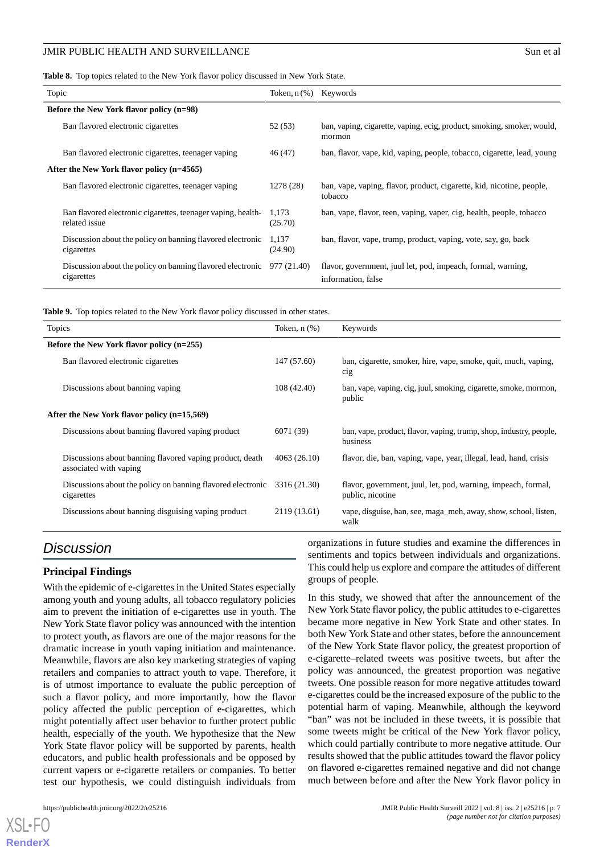<span id="page-6-0"></span>**Table 8.** Top topics related to the New York flavor policy discussed in New York State.

| Topic                                                                                 | Token, $n$ (%) Keywords |                                                                                    |
|---------------------------------------------------------------------------------------|-------------------------|------------------------------------------------------------------------------------|
| Before the New York flavor policy (n=98)                                              |                         |                                                                                    |
| Ban flavored electronic cigarettes                                                    | 52 (53)                 | ban, vaping, cigarette, vaping, ecig, product, smoking, smoker, would,<br>mormon   |
| Ban flavored electronic cigarettes, teenager vaping                                   | 46 (47)                 | ban, flavor, vape, kid, vaping, people, tobacco, cigarette, lead, young            |
| After the New York flavor policy (n=4565)                                             |                         |                                                                                    |
| Ban flavored electronic cigarettes, teenager vaping                                   | 1278 (28)               | ban, vape, vaping, flavor, product, cigarette, kid, nicotine, people,<br>tobacco   |
| Ban flavored electronic cigarettes, teenager vaping, health-<br>related issue         | 1,173<br>(25.70)        | ban, vape, flavor, teen, vaping, vaper, cig, health, people, tobacco               |
| Discussion about the policy on banning flavored electronic<br>cigarettes              | 1,137<br>(24.90)        | ban, flavor, vape, trump, product, vaping, vote, say, go, back                     |
| Discussion about the policy on banning flavored electronic $977(21.40)$<br>cigarettes |                         | flavor, government, juul let, pod, impeach, formal, warning,<br>information, false |

<span id="page-6-1"></span>**Table 9.** Top topics related to the New York flavor policy discussed in other states.

| <b>Topics</b>                                                                      | Token, $n$ $(\%)$ | Keywords                                                                          |
|------------------------------------------------------------------------------------|-------------------|-----------------------------------------------------------------------------------|
| Before the New York flavor policy (n=255)                                          |                   |                                                                                   |
| Ban flavored electronic cigarettes                                                 | 147 (57.60)       | ban, cigarette, smoker, hire, vape, smoke, quit, much, vaping,<br>cig             |
| Discussions about banning vaping                                                   | 108 (42.40)       | ban, vape, vaping, cig, juul, smoking, cigarette, smoke, mormon,<br>public        |
| After the New York flavor policy (n=15,569)                                        |                   |                                                                                   |
| Discussions about banning flavored vaping product                                  | 6071 (39)         | ban, vape, product, flavor, vaping, trump, shop, industry, people,<br>business    |
| Discussions about banning flavored vaping product, death<br>associated with vaping | 4063 (26.10)      | flavor, die, ban, vaping, vape, year, illegal, lead, hand, crisis                 |
| Discussions about the policy on banning flavored electronic<br>cigarettes          | 3316 (21.30)      | flavor, government, juul, let, pod, warning, impeach, formal,<br>public, nicotine |
| Discussions about banning disguising vaping product                                | 2119 (13.61)      | vape, disguise, ban, see, maga_meh, away, show, school, listen,<br>walk           |

## *Discussion*

#### **Principal Findings**

With the epidemic of e-cigarettes in the United States especially among youth and young adults, all tobacco regulatory policies aim to prevent the initiation of e-cigarettes use in youth. The New York State flavor policy was announced with the intention to protect youth, as flavors are one of the major reasons for the dramatic increase in youth vaping initiation and maintenance. Meanwhile, flavors are also key marketing strategies of vaping retailers and companies to attract youth to vape. Therefore, it is of utmost importance to evaluate the public perception of such a flavor policy, and more importantly, how the flavor policy affected the public perception of e-cigarettes, which might potentially affect user behavior to further protect public health, especially of the youth. We hypothesize that the New York State flavor policy will be supported by parents, health educators, and public health professionals and be opposed by current vapers or e-cigarette retailers or companies. To better test our hypothesis, we could distinguish individuals from

[XSL](http://www.w3.org/Style/XSL)•FO **[RenderX](http://www.renderx.com/)**

organizations in future studies and examine the differences in sentiments and topics between individuals and organizations. This could help us explore and compare the attitudes of different groups of people.

In this study, we showed that after the announcement of the New York State flavor policy, the public attitudes to e-cigarettes became more negative in New York State and other states. In both New York State and other states, before the announcement of the New York State flavor policy, the greatest proportion of e-cigarette–related tweets was positive tweets, but after the policy was announced, the greatest proportion was negative tweets. One possible reason for more negative attitudes toward e-cigarettes could be the increased exposure of the public to the potential harm of vaping. Meanwhile, although the keyword "ban" was not be included in these tweets, it is possible that some tweets might be critical of the New York flavor policy, which could partially contribute to more negative attitude. Our results showed that the public attitudes toward the flavor policy on flavored e-cigarettes remained negative and did not change much between before and after the New York flavor policy in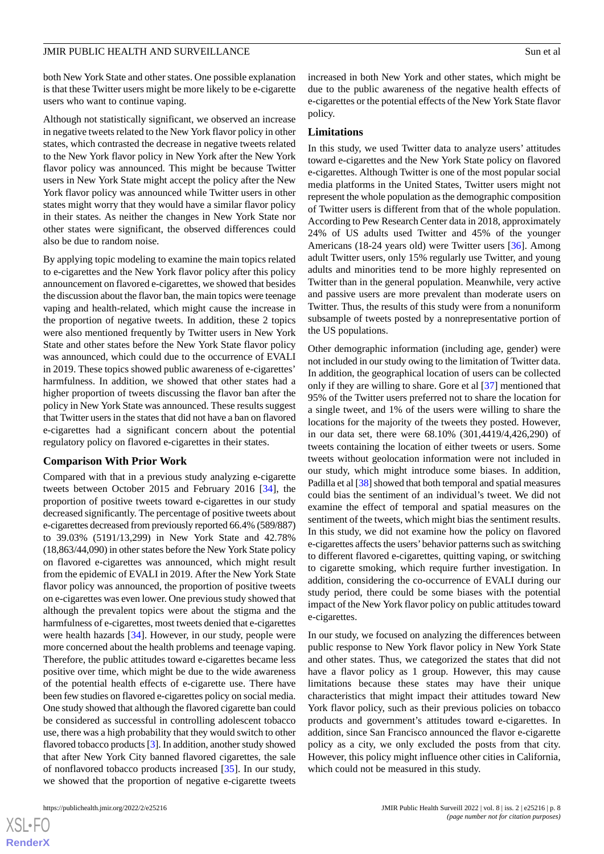both New York State and other states. One possible explanation is that these Twitter users might be more likely to be e-cigarette users who want to continue vaping.

Although not statistically significant, we observed an increase in negative tweets related to the New York flavor policy in other states, which contrasted the decrease in negative tweets related to the New York flavor policy in New York after the New York flavor policy was announced. This might be because Twitter users in New York State might accept the policy after the New York flavor policy was announced while Twitter users in other states might worry that they would have a similar flavor policy in their states. As neither the changes in New York State nor other states were significant, the observed differences could also be due to random noise.

By applying topic modeling to examine the main topics related to e-cigarettes and the New York flavor policy after this policy announcement on flavored e-cigarettes, we showed that besides the discussion about the flavor ban, the main topics were teenage vaping and health-related, which might cause the increase in the proportion of negative tweets. In addition, these 2 topics were also mentioned frequently by Twitter users in New York State and other states before the New York State flavor policy was announced, which could due to the occurrence of EVALI in 2019. These topics showed public awareness of e-cigarettes' harmfulness. In addition, we showed that other states had a higher proportion of tweets discussing the flavor ban after the policy in New York State was announced. These results suggest that Twitter users in the states that did not have a ban on flavored e-cigarettes had a significant concern about the potential regulatory policy on flavored e-cigarettes in their states.

#### **Comparison With Prior Work**

Compared with that in a previous study analyzing e-cigarette tweets between October 2015 and February 2016 [\[34](#page-10-2)], the proportion of positive tweets toward e-cigarettes in our study decreased significantly. The percentage of positive tweets about e-cigarettes decreased from previously reported 66.4% (589/887) to 39.03% (5191/13,299) in New York State and 42.78% (18,863/44,090) in other states before the New York State policy on flavored e-cigarettes was announced, which might result from the epidemic of EVALI in 2019. After the New York State flavor policy was announced, the proportion of positive tweets on e-cigarettes was even lower. One previous study showed that although the prevalent topics were about the stigma and the harmfulness of e-cigarettes, most tweets denied that e-cigarettes were health hazards [\[34](#page-10-2)]. However, in our study, people were more concerned about the health problems and teenage vaping. Therefore, the public attitudes toward e-cigarettes became less positive over time, which might be due to the wide awareness of the potential health effects of e-cigarette use. There have been few studies on flavored e-cigarettes policy on social media. One study showed that although the flavored cigarette ban could be considered as successful in controlling adolescent tobacco use, there was a high probability that they would switch to other flavored tobacco products [\[3](#page-8-2)]. In addition, another study showed that after New York City banned flavored cigarettes, the sale of nonflavored tobacco products increased [\[35](#page-10-3)]. In our study, we showed that the proportion of negative e-cigarette tweets

increased in both New York and other states, which might be due to the public awareness of the negative health effects of e-cigarettes or the potential effects of the New York State flavor policy.

#### **Limitations**

In this study, we used Twitter data to analyze users' attitudes toward e-cigarettes and the New York State policy on flavored e-cigarettes. Although Twitter is one of the most popular social media platforms in the United States, Twitter users might not represent the whole population as the demographic composition of Twitter users is different from that of the whole population. According to Pew Research Center data in 2018, approximately 24% of US adults used Twitter and 45% of the younger Americans (18-24 years old) were Twitter users [[36\]](#page-10-4). Among adult Twitter users, only 15% regularly use Twitter, and young adults and minorities tend to be more highly represented on Twitter than in the general population. Meanwhile, very active and passive users are more prevalent than moderate users on Twitter. Thus, the results of this study were from a nonuniform subsample of tweets posted by a nonrepresentative portion of the US populations.

Other demographic information (including age, gender) were not included in our study owing to the limitation of Twitter data. In addition, the geographical location of users can be collected only if they are willing to share. Gore et al [[37\]](#page-10-5) mentioned that 95% of the Twitter users preferred not to share the location for a single tweet, and 1% of the users were willing to share the locations for the majority of the tweets they posted. However, in our data set, there were 68.10% (301,4419/4,426,290) of tweets containing the location of either tweets or users. Some tweets without geolocation information were not included in our study, which might introduce some biases. In addition, Padilla et al [[38\]](#page-10-6) showed that both temporal and spatial measures could bias the sentiment of an individual's tweet. We did not examine the effect of temporal and spatial measures on the sentiment of the tweets, which might bias the sentiment results. In this study, we did not examine how the policy on flavored e-cigarettes affects the users'behavior patterns such as switching to different flavored e-cigarettes, quitting vaping, or switching to cigarette smoking, which require further investigation. In addition, considering the co-occurrence of EVALI during our study period, there could be some biases with the potential impact of the New York flavor policy on public attitudes toward e-cigarettes.

In our study, we focused on analyzing the differences between public response to New York flavor policy in New York State and other states. Thus, we categorized the states that did not have a flavor policy as 1 group. However, this may cause limitations because these states may have their unique characteristics that might impact their attitudes toward New York flavor policy, such as their previous policies on tobacco products and government's attitudes toward e-cigarettes. In addition, since San Francisco announced the flavor e-cigarette policy as a city, we only excluded the posts from that city. However, this policy might influence other cities in California, which could not be measured in this study.

 $XSI - F($ **[RenderX](http://www.renderx.com/)**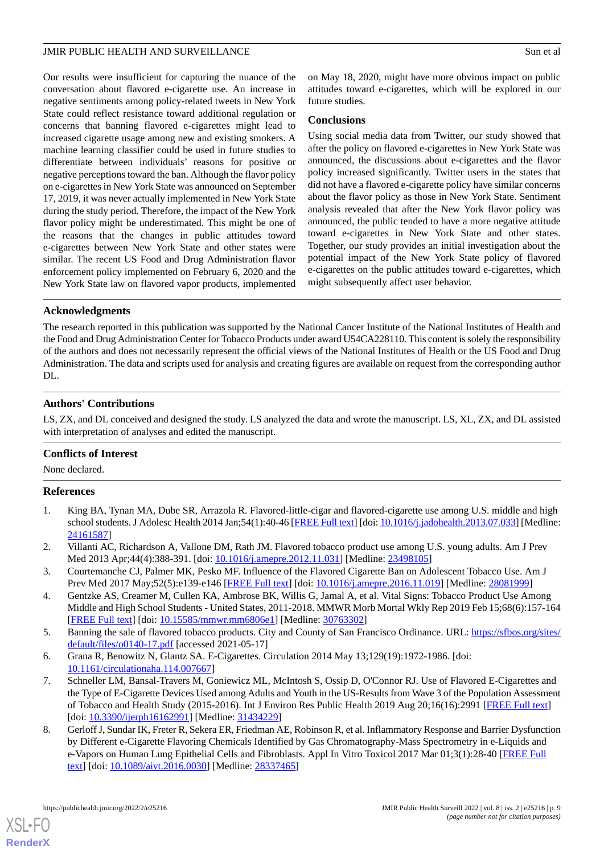Our results were insufficient for capturing the nuance of the conversation about flavored e-cigarette use. An increase in negative sentiments among policy-related tweets in New York State could reflect resistance toward additional regulation or concerns that banning flavored e-cigarettes might lead to increased cigarette usage among new and existing smokers. A machine learning classifier could be used in future studies to differentiate between individuals' reasons for positive or negative perceptions toward the ban. Although the flavor policy on e-cigarettes in New York State was announced on September 17, 2019, it was never actually implemented in New York State during the study period. Therefore, the impact of the New York flavor policy might be underestimated. This might be one of the reasons that the changes in public attitudes toward e-cigarettes between New York State and other states were similar. The recent US Food and Drug Administration flavor enforcement policy implemented on February 6, 2020 and the New York State law on flavored vapor products, implemented

on May 18, 2020, might have more obvious impact on public attitudes toward e-cigarettes, which will be explored in our future studies.

#### **Conclusions**

Using social media data from Twitter, our study showed that after the policy on flavored e-cigarettes in New York State was announced, the discussions about e-cigarettes and the flavor policy increased significantly. Twitter users in the states that did not have a flavored e-cigarette policy have similar concerns about the flavor policy as those in New York State. Sentiment analysis revealed that after the New York flavor policy was announced, the public tended to have a more negative attitude toward e-cigarettes in New York State and other states. Together, our study provides an initial investigation about the potential impact of the New York State policy of flavored e-cigarettes on the public attitudes toward e-cigarettes, which might subsequently affect user behavior.

### **Acknowledgments**

The research reported in this publication was supported by the National Cancer Institute of the National Institutes of Health and the Food and Drug Administration Center for Tobacco Products under award U54CA228110. This content is solely the responsibility of the authors and does not necessarily represent the official views of the National Institutes of Health or the US Food and Drug Administration. The data and scripts used for analysis and creating figures are available on request from the corresponding author DL.

#### **Authors' Contributions**

LS, ZX, and DL conceived and designed the study. LS analyzed the data and wrote the manuscript. LS, XL, ZX, and DL assisted with interpretation of analyses and edited the manuscript.

## <span id="page-8-0"></span>**Conflicts of Interest**

None declared.

#### <span id="page-8-1"></span>**References**

- <span id="page-8-2"></span>1. King BA, Tynan MA, Dube SR, Arrazola R. Flavored-little-cigar and flavored-cigarette use among U.S. middle and high school students. J Adolesc Health 2014 Jan;54(1):40-46 [\[FREE Full text](http://europepmc.org/abstract/MED/24161587)] [doi: [10.1016/j.jadohealth.2013.07.033](http://dx.doi.org/10.1016/j.jadohealth.2013.07.033)] [Medline: [24161587](http://www.ncbi.nlm.nih.gov/entrez/query.fcgi?cmd=Retrieve&db=PubMed&list_uids=24161587&dopt=Abstract)]
- <span id="page-8-3"></span>2. Villanti AC, Richardson A, Vallone DM, Rath JM. Flavored tobacco product use among U.S. young adults. Am J Prev Med 2013 Apr;44(4):388-391. [doi: [10.1016/j.amepre.2012.11.031\]](http://dx.doi.org/10.1016/j.amepre.2012.11.031) [Medline: [23498105\]](http://www.ncbi.nlm.nih.gov/entrez/query.fcgi?cmd=Retrieve&db=PubMed&list_uids=23498105&dopt=Abstract)
- <span id="page-8-4"></span>3. Courtemanche CJ, Palmer MK, Pesko MF. Influence of the Flavored Cigarette Ban on Adolescent Tobacco Use. Am J Prev Med 2017 May;52(5):e139-e146 [\[FREE Full text](http://europepmc.org/abstract/MED/28081999)] [doi: [10.1016/j.amepre.2016.11.019](http://dx.doi.org/10.1016/j.amepre.2016.11.019)] [Medline: [28081999\]](http://www.ncbi.nlm.nih.gov/entrez/query.fcgi?cmd=Retrieve&db=PubMed&list_uids=28081999&dopt=Abstract)
- <span id="page-8-6"></span><span id="page-8-5"></span>4. Gentzke AS, Creamer M, Cullen KA, Ambrose BK, Willis G, Jamal A, et al. Vital Signs: Tobacco Product Use Among Middle and High School Students - United States, 2011-2018. MMWR Morb Mortal Wkly Rep 2019 Feb 15;68(6):157-164 [[FREE Full text](https://doi.org/10.15585/mmwr.mm6806e1)] [doi: [10.15585/mmwr.mm6806e1\]](http://dx.doi.org/10.15585/mmwr.mm6806e1) [Medline: [30763302\]](http://www.ncbi.nlm.nih.gov/entrez/query.fcgi?cmd=Retrieve&db=PubMed&list_uids=30763302&dopt=Abstract)
- 5. Banning the sale of flavored tobacco products. City and County of San Francisco Ordinance. URL: [https://sfbos.org/sites/](https://sfbos.org/sites/default/files/o0140-17.pdf) [default/files/o0140-17.pdf](https://sfbos.org/sites/default/files/o0140-17.pdf) [accessed 2021-05-17]
- <span id="page-8-7"></span>6. Grana R, Benowitz N, Glantz SA. E-Cigarettes. Circulation 2014 May 13;129(19):1972-1986. [doi: [10.1161/circulationaha.114.007667](http://dx.doi.org/10.1161/circulationaha.114.007667)]
- 7. Schneller LM, Bansal-Travers M, Goniewicz ML, McIntosh S, Ossip D, O'Connor RJ. Use of Flavored E-Cigarettes and the Type of E-Cigarette Devices Used among Adults and Youth in the US-Results from Wave 3 of the Population Assessment of Tobacco and Health Study (2015-2016). Int J Environ Res Public Health 2019 Aug 20;16(16):2991 [[FREE Full text](https://www.mdpi.com/resolver?pii=ijerph16162991)] [doi: [10.3390/ijerph16162991](http://dx.doi.org/10.3390/ijerph16162991)] [Medline: [31434229](http://www.ncbi.nlm.nih.gov/entrez/query.fcgi?cmd=Retrieve&db=PubMed&list_uids=31434229&dopt=Abstract)]
- 8. Gerloff J, Sundar IK, Freter R, Sekera ER, Friedman AE, Robinson R, et al. Inflammatory Response and Barrier Dysfunction by Different e-Cigarette Flavoring Chemicals Identified by Gas Chromatography-Mass Spectrometry in e-Liquids and e-Vapors on Human Lung Epithelial Cells and Fibroblasts. Appl In Vitro Toxicol 2017 Mar 01;3(1):28-40 [[FREE Full](http://europepmc.org/abstract/MED/28337465) [text](http://europepmc.org/abstract/MED/28337465)] [doi: [10.1089/aivt.2016.0030\]](http://dx.doi.org/10.1089/aivt.2016.0030) [Medline: [28337465](http://www.ncbi.nlm.nih.gov/entrez/query.fcgi?cmd=Retrieve&db=PubMed&list_uids=28337465&dopt=Abstract)]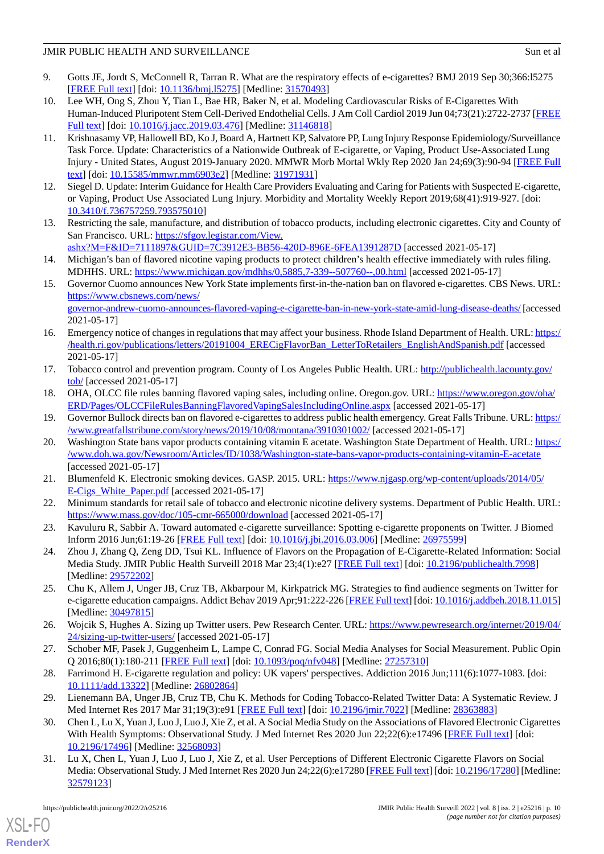- <span id="page-9-0"></span>9. Gotts JE, Jordt S, McConnell R, Tarran R. What are the respiratory effects of e-cigarettes? BMJ 2019 Sep 30;366:l5275 [[FREE Full text](http://www.bmj.com/lookup/pmidlookup?view=long&pmid=31570493)] [doi: [10.1136/bmj.l5275\]](http://dx.doi.org/10.1136/bmj.l5275) [Medline: [31570493](http://www.ncbi.nlm.nih.gov/entrez/query.fcgi?cmd=Retrieve&db=PubMed&list_uids=31570493&dopt=Abstract)]
- <span id="page-9-1"></span>10. Lee WH, Ong S, Zhou Y, Tian L, Bae HR, Baker N, et al. Modeling Cardiovascular Risks of E-Cigarettes With Human-Induced Pluripotent Stem Cell-Derived Endothelial Cells. J Am Coll Cardiol 2019 Jun 04;73(21):2722-2737 [\[FREE](https://linkinghub.elsevier.com/retrieve/pii/S0735-1097(19)34696-0) [Full text\]](https://linkinghub.elsevier.com/retrieve/pii/S0735-1097(19)34696-0) [doi: [10.1016/j.jacc.2019.03.476](http://dx.doi.org/10.1016/j.jacc.2019.03.476)] [Medline: [31146818](http://www.ncbi.nlm.nih.gov/entrez/query.fcgi?cmd=Retrieve&db=PubMed&list_uids=31146818&dopt=Abstract)]
- <span id="page-9-2"></span>11. Krishnasamy VP, Hallowell BD, Ko J, Board A, Hartnett KP, Salvatore PP, Lung Injury Response Epidemiology/Surveillance Task Force. Update: Characteristics of a Nationwide Outbreak of E-cigarette, or Vaping, Product Use-Associated Lung Injury - United States, August 2019-January 2020. MMWR Morb Mortal Wkly Rep 2020 Jan 24;69(3):90-94 [[FREE Full](https://doi.org/10.15585/mmwr.mm6903e2) [text](https://doi.org/10.15585/mmwr.mm6903e2)] [doi: [10.15585/mmwr.mm6903e2\]](http://dx.doi.org/10.15585/mmwr.mm6903e2) [Medline: [31971931\]](http://www.ncbi.nlm.nih.gov/entrez/query.fcgi?cmd=Retrieve&db=PubMed&list_uids=31971931&dopt=Abstract)
- <span id="page-9-4"></span><span id="page-9-3"></span>12. Siegel D. Update: Interim Guidance for Health Care Providers Evaluating and Caring for Patients with Suspected E-cigarette, or Vaping, Product Use Associated Lung Injury. Morbidity and Mortality Weekly Report 2019;68(41):919-927. [doi: [10.3410/f.736757259.793575010](http://dx.doi.org/10.3410/f.736757259.793575010)]
- <span id="page-9-5"></span>13. Restricting the sale, manufacture, and distribution of tobacco products, including electronic cigarettes. City and County of San Francisco. URL: [https://sfgov.legistar.com/View.](https://sfgov.legistar.com/View.ashx?M=F&ID=7111897&GUID=7C3912E3-BB56-420D-896E-6FEA1391287D) [ashx?M=F&ID=7111897&GUID=7C3912E3-BB56-420D-896E-6FEA1391287D](https://sfgov.legistar.com/View.ashx?M=F&ID=7111897&GUID=7C3912E3-BB56-420D-896E-6FEA1391287D) [accessed 2021-05-17]
- <span id="page-9-6"></span>14. Michigan's ban of flavored nicotine vaping products to protect children's health effective immediately with rules filing. MDHHS. URL: <https://www.michigan.gov/mdhhs/0,5885,7-339--507760--,00.html> [accessed 2021-05-17]
- 15. Governor Cuomo announces New York State implements first-in-the-nation ban on flavored e-cigarettes. CBS News. URL: [https://www.cbsnews.com/news/](https://www.cbsnews.com/news/governor-andrew-cuomo-announces-flavored-vaping-e-cigarette-ban-in-new-york-state-amid-lung-disease-deaths/) [governor-andrew-cuomo-announces-flavored-vaping-e-cigarette-ban-in-new-york-state-amid-lung-disease-deaths/](https://www.cbsnews.com/news/governor-andrew-cuomo-announces-flavored-vaping-e-cigarette-ban-in-new-york-state-amid-lung-disease-deaths/) [accessed 2021-05-17]
- 16. Emergency notice of changes in regulations that may affect your business. Rhode Island Department of Health. URL: [https:/](https://health.ri.gov/publications/letters/20191004_ERECigFlavorBan_LetterToRetailers_EnglishAndSpanish.pdf) [/health.ri.gov/publications/letters/20191004\\_ERECigFlavorBan\\_LetterToRetailers\\_EnglishAndSpanish.pdf](https://health.ri.gov/publications/letters/20191004_ERECigFlavorBan_LetterToRetailers_EnglishAndSpanish.pdf) [accessed 2021-05-17]
- 17. Tobacco control and prevention program. County of Los Angeles Public Health. URL: [http://publichealth.lacounty.gov/](http://publichealth.lacounty.gov/tob/) [tob/](http://publichealth.lacounty.gov/tob/) [accessed 2021-05-17]
- 18. OHA, OLCC file rules banning flavored vaping sales, including online. Oregon.gov. URL: [https://www.oregon.gov/oha/](https://www.oregon.gov/oha/ERD/Pages/OLCCFileRulesBanningFlavoredVapingSalesIncludingOnline.aspx) [ERD/Pages/OLCCFileRulesBanningFlavoredVapingSalesIncludingOnline.aspx](https://www.oregon.gov/oha/ERD/Pages/OLCCFileRulesBanningFlavoredVapingSalesIncludingOnline.aspx) [accessed 2021-05-17]
- 19. Governor Bullock directs ban on flavored e-cigarettes to address public health emergency. Great Falls Tribune. URL: [https:/](https://www.greatfallstribune.com/story/news/2019/10/08/montana/3910301002/) [/www.greatfallstribune.com/story/news/2019/10/08/montana/3910301002/](https://www.greatfallstribune.com/story/news/2019/10/08/montana/3910301002/) [accessed 2021-05-17]
- <span id="page-9-7"></span>20. Washington State bans vapor products containing vitamin E acetate. Washington State Department of Health. URL: [https:/](https://www.doh.wa.gov/Newsroom/Articles/ID/1038/Washington-state-bans-vapor-products-containing-vitamin-E-acetate) [/www.doh.wa.gov/Newsroom/Articles/ID/1038/Washington-state-bans-vapor-products-containing-vitamin-E-acetate](https://www.doh.wa.gov/Newsroom/Articles/ID/1038/Washington-state-bans-vapor-products-containing-vitamin-E-acetate) [accessed 2021-05-17]
- <span id="page-9-8"></span>21. Blumenfeld K. Electronic smoking devices. GASP. 2015. URL: [https://www.njgasp.org/wp-content/uploads/2014/05/](https://www.njgasp.org/wp-content/uploads/2014/05/E-Cigs_White_Paper.pdf) E-Cigs White Paper.pdf [accessed 2021-05-17]
- <span id="page-9-9"></span>22. Minimum standards for retail sale of tobacco and electronic nicotine delivery systems. Department of Public Health. URL: <https://www.mass.gov/doc/105-cmr-665000/download> [accessed 2021-05-17]
- <span id="page-9-10"></span>23. Kavuluru R, Sabbir A. Toward automated e-cigarette surveillance: Spotting e-cigarette proponents on Twitter. J Biomed Inform 2016 Jun;61:19-26 [[FREE Full text](https://linkinghub.elsevier.com/retrieve/pii/S1532-0464(16)00046-0)] [doi: [10.1016/j.jbi.2016.03.006](http://dx.doi.org/10.1016/j.jbi.2016.03.006)] [Medline: [26975599\]](http://www.ncbi.nlm.nih.gov/entrez/query.fcgi?cmd=Retrieve&db=PubMed&list_uids=26975599&dopt=Abstract)
- <span id="page-9-11"></span>24. Zhou J, Zhang Q, Zeng DD, Tsui KL. Influence of Flavors on the Propagation of E-Cigarette-Related Information: Social Media Study. JMIR Public Health Surveill 2018 Mar 23;4(1):e27 [[FREE Full text](https://publichealth.jmir.org/2018/1/e27/)] [doi: [10.2196/publichealth.7998\]](http://dx.doi.org/10.2196/publichealth.7998) [Medline: [29572202](http://www.ncbi.nlm.nih.gov/entrez/query.fcgi?cmd=Retrieve&db=PubMed&list_uids=29572202&dopt=Abstract)]
- <span id="page-9-12"></span>25. Chu K, Allem J, Unger JB, Cruz TB, Akbarpour M, Kirkpatrick MG. Strategies to find audience segments on Twitter for e-cigarette education campaigns. Addict Behav 2019 Apr;91:222-226 [\[FREE Full text\]](http://europepmc.org/abstract/MED/30497815) [doi: [10.1016/j.addbeh.2018.11.015\]](http://dx.doi.org/10.1016/j.addbeh.2018.11.015) [Medline: [30497815](http://www.ncbi.nlm.nih.gov/entrez/query.fcgi?cmd=Retrieve&db=PubMed&list_uids=30497815&dopt=Abstract)]
- <span id="page-9-14"></span><span id="page-9-13"></span>26. Wojcik S, Hughes A. Sizing up Twitter users. Pew Research Center. URL: [https://www.pewresearch.org/internet/2019/04/](https://www.pewresearch.org/internet/2019/04/24/sizing-up-twitter-users/) [24/sizing-up-twitter-users/](https://www.pewresearch.org/internet/2019/04/24/sizing-up-twitter-users/) [accessed 2021-05-17]
- 27. Schober MF, Pasek J, Guggenheim L, Lampe C, Conrad FG. Social Media Analyses for Social Measurement. Public Opin Q 2016;80(1):180-211 [[FREE Full text](http://europepmc.org/abstract/MED/27257310)] [doi: [10.1093/poq/nfv048\]](http://dx.doi.org/10.1093/poq/nfv048) [Medline: [27257310](http://www.ncbi.nlm.nih.gov/entrez/query.fcgi?cmd=Retrieve&db=PubMed&list_uids=27257310&dopt=Abstract)]
- <span id="page-9-15"></span>28. Farrimond H. E-cigarette regulation and policy: UK vapers' perspectives. Addiction 2016 Jun;111(6):1077-1083. [doi: [10.1111/add.13322\]](http://dx.doi.org/10.1111/add.13322) [Medline: [26802864\]](http://www.ncbi.nlm.nih.gov/entrez/query.fcgi?cmd=Retrieve&db=PubMed&list_uids=26802864&dopt=Abstract)
- 29. Lienemann BA, Unger JB, Cruz TB, Chu K. Methods for Coding Tobacco-Related Twitter Data: A Systematic Review. J Med Internet Res 2017 Mar 31;19(3):e91 [[FREE Full text](https://www.jmir.org/2017/3/e91/)] [doi: [10.2196/jmir.7022](http://dx.doi.org/10.2196/jmir.7022)] [Medline: [28363883\]](http://www.ncbi.nlm.nih.gov/entrez/query.fcgi?cmd=Retrieve&db=PubMed&list_uids=28363883&dopt=Abstract)
- 30. Chen L, Lu X, Yuan J, Luo J, Luo J, Xie Z, et al. A Social Media Study on the Associations of Flavored Electronic Cigarettes With Health Symptoms: Observational Study. J Med Internet Res 2020 Jun 22;22(6):e17496 [[FREE Full text](https://www.jmir.org/2020/6/e17496/)] [doi: [10.2196/17496\]](http://dx.doi.org/10.2196/17496) [Medline: [32568093\]](http://www.ncbi.nlm.nih.gov/entrez/query.fcgi?cmd=Retrieve&db=PubMed&list_uids=32568093&dopt=Abstract)
- 31. Lu X, Chen L, Yuan J, Luo J, Luo J, Xie Z, et al. User Perceptions of Different Electronic Cigarette Flavors on Social Media: Observational Study. J Med Internet Res 2020 Jun 24;22(6):e17280 [\[FREE Full text](https://www.jmir.org/2020/6/e17280/)] [doi: [10.2196/17280](http://dx.doi.org/10.2196/17280)] [Medline: [32579123](http://www.ncbi.nlm.nih.gov/entrez/query.fcgi?cmd=Retrieve&db=PubMed&list_uids=32579123&dopt=Abstract)]